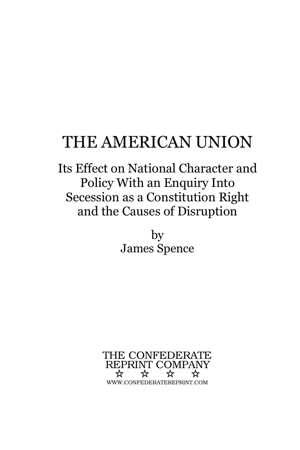# THE AMERICAN UNION

Its Effect on National Character andPolicy With an Enquiry Into Secession as a Constitution Rightand the Causes of Disruption

> byJames Spence

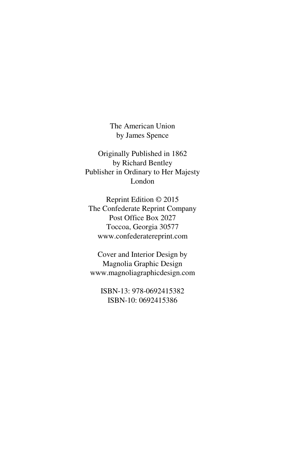The American Unionby James Spence

Originally Published in 1862by Richard Bentley Publisher in Ordinary to Her MajestyLondon

Reprint Edition © 2015 The Confederate Reprint CompanyPost Office Box 2027 Toccoa, Georgia 30577www.confederatereprint.com

Cover and Interior Design by Magnolia Graphic Designwww.magnoliagraphicdesign.com

ISBN-13: 978-0692415382ISBN-10: 0692415386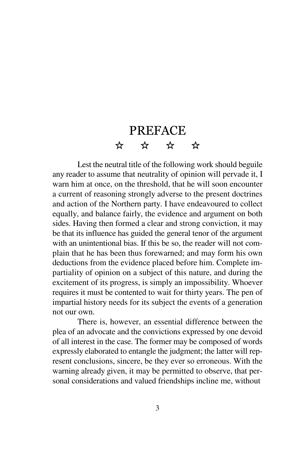# PREFACE☆ ☆ ☆ ☆

Lest the neutral title of the following work should beguile any reader to assume that neutrality of opinion will pervade it, I warn him at once, on the threshold, that he will soon encounter a current of reasoning strongly adverse to the present doctrines and action of the Northern party. I have endeavoured to collect equally, and balance fairly, the evidence and argument on both sides. Having then formed a clear and strong conviction, it may be that its influence has guided the general tenor of the argument with an unintentional bias. If this be so, the reader will not complain that he has been thus forewarned; and may form his own deductions from the evidence placed before him. Complete impartiality of opinion on a subject of this nature, and during the excitement of its progress, is simply an impossibility. Whoever requires it must be contented to wait for thirty years. The pen of impartial history needs for its subject the events of a generationnot our own.

There is, however, an essential difference between the plea of an advocate and the convictions expressed by one devoid of all interest in the case. The former may be composed of words expressly elaborated to entangle the judgment; the latter will represent conclusions, sincere, be they ever so erroneous. With the warning already given, it may be permitted to observe, that personal considerations and valued friendships incline me, without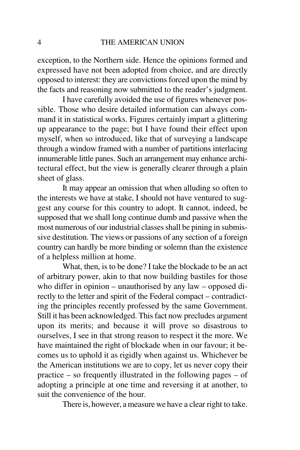exception, to the Northern side. Hence the opinions formed and expressed have not been adopted from choice, and are directly opposed to interest: they are convictions forced upon the mind bythe facts and reasoning now submitted to the reader's judgment.

 I have carefully avoided the use of figures whenever possible. Those who desire detailed information can always command it in statistical works. Figures certainly impart a glittering up appearance to the page; but I have found their effect upon myself, when so introduced, like that of surveying a landscape through a window framed with a number of partitions interlacing innumerable little panes. Such an arrangement may enhance architectural effect, but the view is generally clearer through a plainsheet of glass.

It may appear an omission that when alluding so often to the interests we have at stake, I should not have ventured to suggest any course for this country to adopt. It cannot, indeed, be supposed that we shall long continue dumb and passive when the most numerous of our industrial classes shall be pining in submissive destitution. The views or passions of any section of a foreign country can hardly be more binding or solemn than the existenceof a helpless million at home.

 What, then, is to be done? I take the blockade to be an act of arbitrary power, akin to that now building bastiles for those who differ in opinion – unauthorised by any law – opposed directly to the letter and spirit of the Federal compact – contradicting the principles recently professed by the same Government.Still it has been acknowledged. This fact now precludes argument upon its merits; and because it will prove so disastrous to ourselves, I see in that strong reason to respect it the more. We have maintained the right of blockade when in our favour; it becomes us to uphold it as rigidly when against us. Whichever be the American institutions we are to copy, let us never copy their practice – so frequently illustrated in the following pages – of adopting a principle at one time and reversing it at another, tosuit the convenience of the hour.

There is, however, a measure we have a clear right to take.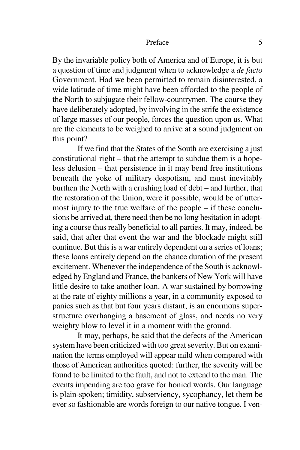#### Preface 5

By the invariable policy both of America and of Europe, it is but a question of time and judgment when to acknowledge a *de facto* Government. Had we been permitted to remain disinterested, a wide latitude of time might have been afforded to the people of the North to subjugate their fellow-countrymen. The course they have deliberately adopted, by involving in the strife the existence of large masses of our people, forces the question upon us. What are the elements to be weighed to arrive at a sound judgment onthis point?

 If we find that the States of the South are exercising a just constitutional right – that the attempt to subdue them is a hopeless delusion – that persistence in it may bend free institutions beneath the yoke of military despotism, and must inevitably burthen the North with a crushing load of debt – and further, that the restoration of the Union, were it possible, would be of uttermost injury to the true welfare of the people – if these conclusions be arrived at, there need then be no long hesitation in adopting a course thus really beneficial to all parties. It may, indeed, be said, that after that event the war and the blockade might still continue. But this is a war entirely dependent on a series of loans; these loans entirely depend on the chance duration of the present excitement. Whenever the independence of the South is acknowledged by England and France, the bankers of New York will have little desire to take another loan. A war sustained by borrowing at the rate of eighty millions a year, in a community exposed to panics such as that but four years distant, is an enormous superstructure overhanging a basement of glass, and needs no veryweighty blow to level it in a moment with the ground.

It may, perhaps, be said that the defects of the American system have been criticized with too great severity. But on examination the terms employed will appear mild when compared with those of American authorities quoted: further, the severity will be found to be limited to the fault, and not to extend to the man. The events impending are too grave for honied words. Our language is plain-spoken; timidity, subserviency, sycophancy, let them beever so fashionable are words foreign to our native tongue. I ven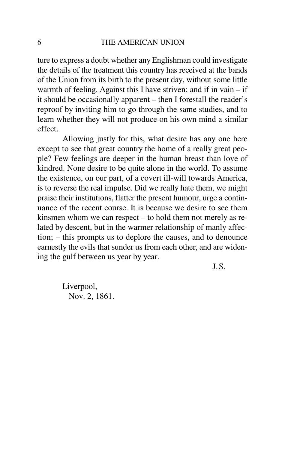ture to express a doubt whether any Englishman could investigate the details of the treatment this country has received at the bands of the Union from its birth to the present day, without some little warmth of feeling. Against this I have striven; and if in vain – if it should be occasionally apparent – then I forestall the reader's reproof by inviting him to go through the same studies, and to learn whether they will not produce on his own mind a similareffect.

Allowing justly for this, what desire has any one here except to see that great country the home of a really great people? Few feelings are deeper in the human breast than love of kindred. None desire to be quite alone in the world. To assume the existence, on our part, of a covert ill-will towards America, is to reverse the real impulse. Did we really hate them, we might praise their institutions, flatter the present humour, urge a continuance of the recent course. It is because we desire to see them kinsmen whom we can respect – to hold them not merely as related by descent, but in the warmer relationship of manly affection; – this prompts us to deplore the causes, and to denounce earnestly the evils that sunder us from each other, and are widening the gulf between us year by year.

J.S.

Liverpool,Nov. 2, 1861.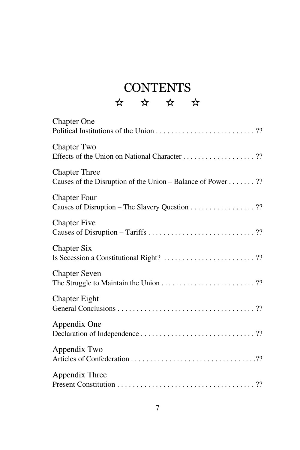# CONTENTS

## ☆ ☆ ☆ ☆

| <b>Chapter One</b>                                                                  |
|-------------------------------------------------------------------------------------|
| <b>Chapter Two</b>                                                                  |
| <b>Chapter Three</b><br>Causes of the Disruption of the Union - Balance of Power ?? |
| <b>Chapter Four</b><br>Causes of Disruption - The Slavery Question ??               |
| <b>Chapter Five</b>                                                                 |
| <b>Chapter Six</b><br>Is Secession a Constitutional Right? ??                       |
| <b>Chapter Seven</b><br>The Struggle to Maintain the Union ??                       |
| <b>Chapter Eight</b>                                                                |
| Appendix One                                                                        |
| Appendix Two                                                                        |
| Appendix Three                                                                      |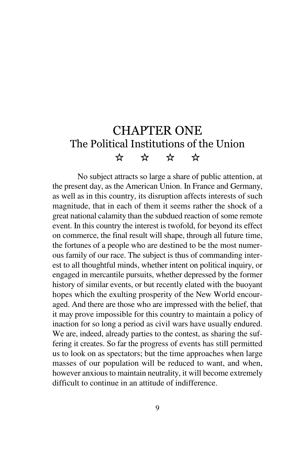# CHAPTER ONE The Political Institutions of the Union☆ ☆ ☆ ☆

No subject attracts so large a share of public attention, at the present day, as the American Union. In France and Germany,as well as in this country, its disruption affects interests of such magnitude, that in each of them it seems rather the shock of a great national calamity than the subdued reaction of some remote event. In this country the interest is twofold, for beyond its effect on commerce, the final result will shape, through all future time,the fortunes of a people who are destined to be the most numerous family of our race. The subject is thus of commanding interest to all thoughtful minds, whether intent on political inquiry, or engaged in mercantile pursuits, whether depressed by the former history of similar events, or but recently elated with the buoyant hopes which the exulting prosperity of the New World encouraged. And there are those who are impressed with the belief, that it may prove impossible for this country to maintain a policy of inaction for so long a period as civil wars have usually endured.We are, indeed, already parties to the contest, as sharing the suffering it creates. So far the progress of events has still permitted us to look on as spectators; but the time approaches when large masses of our population will be reduced to want, and when,however anxious to maintain neutrality, it will become extremelydifficult to continue in an attitude of indifference.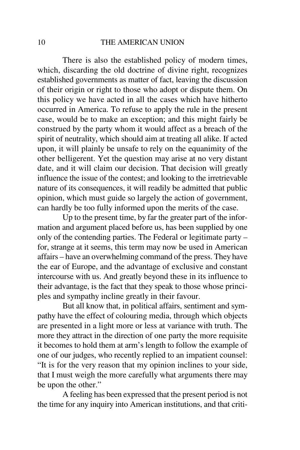### THE AMERICAN UNION

There is also the established policy of modern times, which, discarding the old doctrine of divine right, recognizes established governments as matter of fact, leaving the discussion of their origin or right to those who adopt or dispute them. On this policy we have acted in all the cases which have hitherto occurred in America. To refuse to apply the rule in the present case, would be to make an exception; and this might fairly be construed by the party whom it would affect as a breach of the spirit of neutrality, which should aim at treating all alike. If acted upon, it will plainly be unsafe to rely on the equanimity of the other belligerent. Yet the question may arise at no very distant date, and it will claim our decision. That decision will greatly influence the issue of the contest; and looking to the irretrievable nature of its consequences, it will readily be admitted that public opinion, which must guide so largely the action of government,can hardly be too fully informed upon the merits of the case.

 Up to the present time, by far the greater part of the information and argument placed before us, has been supplied by one only of the contending parties. The Federal or legitimate party – for, strange at it seems, this term may now be used in American affairs – have an overwhelming command of the press. They have the ear of Europe, and the advantage of exclusive and constant intercourse with us. And greatly beyond these in its influence to their advantage, is the fact that they speak to those whose principles and sympathy incline greatly in their favour.

But all know that, in political affairs, sentiment and sympathy have the effect of colouring media, through which objects are presented in a light more or less at variance with truth. The more they attract in the direction of one party the more requisite it becomes to hold them at arm's length to follow the example of one of our judges, who recently replied to an impatient counsel: "It is for the very reason that my opinion inclines to your side, that I must weigh the more carefully what arguments there maybe upon the other."

 A feeling has been expressed that the present period is notthe time for any inquiry into American institutions, and that criti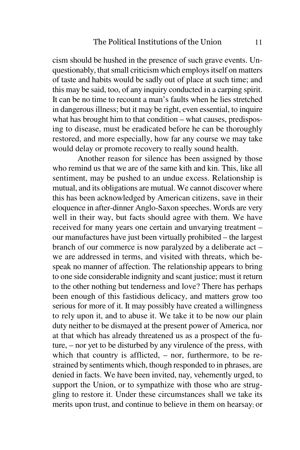cism should be hushed in the presence of such grave events. Unquestionably, that small criticism which employs itself on matters of taste and habits would be sadly out of place at such time; and this may be said, too, of any inquiry conducted in a carping spirit. It can be no time to recount a man's faults when he lies stretched in dangerous illness; but it may be right, even essential, to inquire what has brought him to that condition – what causes, predisposing to disease, must be eradicated before he can be thoroughly restored, and more especially, how far any course we may takewould delay or promote recovery to really sound health.

 Another reason for silence has been assigned by those who remind us that we are of the same kith and kin. This, like all sentiment, may be pushed to an undue excess. Relationship is mutual, and its obligations are mutual. We cannot discover where this has been acknowledged by American citizens, save in their eloquence in after-dinner Anglo-Saxon speeches. Words are very well in their way, but facts should agree with them. We have received for many years one certain and unvarying treatment – our manufactures have just been virtually prohibited – the largest branch of our commerce is now paralyzed by a deliberate act – we are addressed in terms, and visited with threats, which bespeak no manner of affection. The relationship appears to bring to one side considerable indignity and scant justice; must it return to the other nothing but tenderness and love? There has perhaps been enough of this fastidious delicacy, and matters grow too serious for more of it. It may possibly have created a willingness to rely upon it, and to abuse it. We take it to be now our plain duty neither to be dismayed at the present power of America, nor at that which has already threatened us as a prospect of the future, – nor yet to be disturbed by any virulence of the press, with which that country is afflicted, – nor, furthermore, to be restrained by sentiments which, though responded to in phrases, are denied in facts. We have been invited, nay, vehemently urged, to support the Union, or to sympathize with those who are struggling to restore it. Under these circumstances shall we take itsmerits upon trust, and continue to believe in them on hearsay; or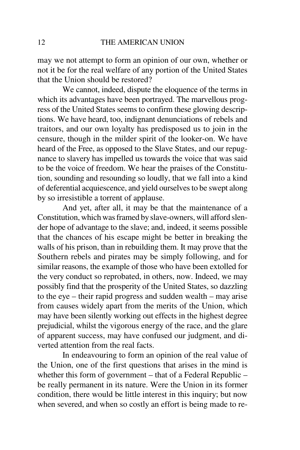may we not attempt to form an opinion of our own, whether or not it be for the real welfare of any portion of the United Statesthat the Union should be restored?

 We cannot, indeed, dispute the eloquence of the terms in which its advantages have been portrayed. The marvellous progress of the United States seems to confirm these glowing descriptions. We have heard, too, indignant denunciations of rebels and traitors, and our own loyalty has predisposed us to join in the censure, though in the milder spirit of the looker-on. We have heard of the Free, as opposed to the Slave States, and our repugnance to slavery has impelled us towards the voice that was said to be the voice of freedom. We hear the praises of the Constitution, sounding and resounding so loudly, that we fall into a kind of deferential acquiescence, and yield ourselves to be swept alongby so irresistible a torrent of applause.

 And yet, after all, it may be that the maintenance of a Constitution, which was framed by slave-owners, will afford slender hope of advantage to the slave; and, indeed, it seems possible that the chances of his escape might be better in breaking the walls of his prison, than in rebuilding them. It may prove that the Southern rebels and pirates may be simply following, and for similar reasons, the example of those who have been extolled for the very conduct so reprobated, in others, now. Indeed, we may possibly find that the prosperity of the United States, so dazzling to the eye – their rapid progress and sudden wealth – may arise from causes widely apart from the merits of the Union, which may have been silently working out effects in the highest degree prejudicial, whilst the vigorous energy of the race, and the glare of apparent success, may have confused our judgment, and diverted attention from the real facts.

 In endeavouring to form an opinion of the real value of the Union, one of the first questions that arises in the mind is whether this form of government – that of a Federal Republic – be really permanent in its nature. Were the Union in its former condition, there would be little interest in this inquiry; but nowwhen severed, and when so costly an effort is being made to re-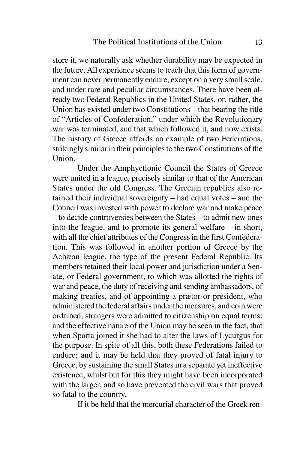store it, we naturally ask whether durability may be expected in the future. All experience seems to teach that this form of government can never permanently endure, except on a very small scale, and under rare and peculiar circumstances. There have been already two Federal Republics in the United States, or, rather, the Union has existed under two Constitutions – that bearing the title of "Articles of Confederation," under which the Revolutionary war was terminated, and that which followed it, and now exists.The history of Greece affords an example of two Federations,strikingly similar in their principles to the two Constitutions of theUnion.

Under the Amphyctionic Council the States of Greece were united in a league, precisely similar to that of the American States under the old Congress. The Grecian republics also retained their individual sovereignty – had equal votes – and the Council was invested with power to declare war and make peace – to decide controversies between the States – to admit new ones into the league, and to promote its general welfare – in short, with all the chief attributes of the Congress in the first Confederation. This was followed in another portion of Greece by the Achæan league, the type of the present Federal Republic. Its members retained their local power and jurisdiction under a Senate, or Federal government, to which was allotted the rights of war and peace, the duty of receiving and sending ambassadors, of making treaties, and of appointing a prætor or president, who administered the federal affairs under the measures, and coin were ordained; strangers were admitted to citizenship on equal terms; and the effective nature of the Union may be seen in the fact, that when Sparta joined it she had to alter the laws of Lycurgus for the purpose. In spite of all this, both these Federations failed to endure; and it may be held that they proved of fatal injury to Greece, by sustaining the small States in a separate yet ineffective existence; whilst but for this they might have been incorporated with the larger, and so have prevented the civil wars that provedso fatal to the country.

If it be held that the mercurial character of the Greek ren-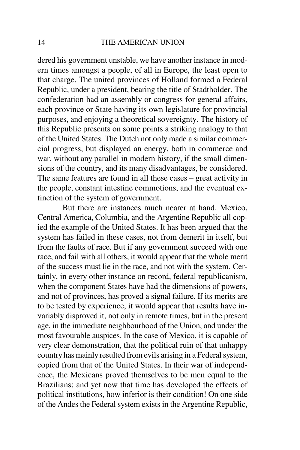dered his government unstable, we have another instance in modern times amongst a people, of all in Europe, the least open to that charge. The united provinces of Holland formed a Federal Republic, under a president, bearing the title of Stadtholder. The confederation had an assembly or congress for general affairs, each province or State having its own legislature for provincial purposes, and enjoying a theoretical sovereignty. The history of this Republic presents on some points a striking analogy to that of the United States. The Dutch not only made a similar commercial progress, but displayed an energy, both in commerce and war, without any parallel in modern history, if the small dimensions of the country, and its many disadvantages, be considered. The same features are found in all these cases – great activity in the people, constant intestine commotions, and the eventual extinction of the system of government.

But there are instances much nearer at hand. Mexico, Central America, Columbia, and the Argentine Republic all copied the example of the United States. It has been argued that the system has failed in these cases, not from demerit in itself, but from the faults of race. But if any government succeed with one race, and fail with all others, it would appear that the whole merit of the success must lie in the race, and not with the system. Certainly, in every other instance on record, federal republicanism, when the component States have had the dimensions of powers, and not of provinces, has proved a signal failure. If its merits are to be tested by experience, it would appear that results have invariably disproved it, not only in remote times, but in the present age, in the immediate neighbourhood of the Union, and under the most favourable auspices. In the case of Mexico, it is capable of very clear demonstration, that the political ruin of that unhappy country has mainly resulted from evils arising in a Federal system, copied from that of the United States. In their war of independence, the Mexicans proved themselves to be men equal to the Brazilians; and yet now that time has developed the effects of political institutions, how inferior is their condition! On one sideof the Andes the Federal system exists in the Argentine Republic,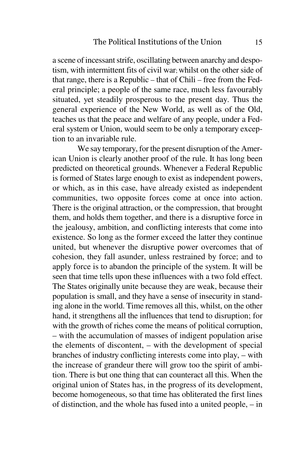a scene of incessant strife, oscillating between anarchy and despotism, with intermittent fits of civil war; whilst on the other side of that range, there is a Republic – that of Chili – free from the Federal principle; a people of the same race, much less favourably situated, yet steadily prosperous to the present day. Thus the general experience of the New World, as well as of the Old, teaches us that the peace and welfare of any people, under a Federal system or Union, would seem to be only a temporary exception to an invariable rule.

We say temporary, for the present disruption of the American Union is clearly another proof of the rule. It has long been predicted on theoretical grounds. Whenever a Federal Republic is formed of States large enough to exist as independent powers, or which, as in this case, have already existed as independent communities, two opposite forces come at once into action. There is the original attraction, or the compression, that brought them, and holds them together, and there is a disruptive force in the jealousy, ambition, and conflicting interests that come into existence. So long as the former exceed the latter they continue united, but whenever the disruptive power overcomes that of cohesion, they fall asunder, unless restrained by force; and to apply force is to abandon the principle of the system. It will be seen that time tells upon these influences with a two fold effect. The States originally unite because they are weak, because their population is small, and they have a sense of insecurity in standing alone in the world. Time removes all this, whilst, on the other hand, it strengthens all the influences that tend to disruption; for with the growth of riches come the means of political corruption,– with the accumulation of masses of indigent population arise the elements of discontent, – with the development of special branches of industry conflicting interests come into play, – with the increase of grandeur there will grow too the spirit of ambition. There is but one thing that can counteract all this. When the original union of States has, in the progress of its development,become homogeneous, so that time has obliterated the first linesof distinction, and the whole has fused into a united people, – in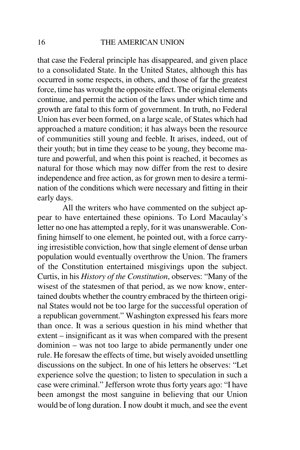that case the Federal principle has disappeared, and given place to a consolidated State. In the United States, although this has occurred in some respects, in others, and those of far the greatest force, time has wrought the opposite effect. The original elements continue, and permit the action of the laws under which time and growth are fatal to this form of government. In truth, no Federal Union has ever been formed, on a large scale, of States which had approached a mature condition; it has always been the resource of communities still young and feeble. It arises, indeed, out of their youth; but in time they cease to be young, they become mature and powerful, and when this point is reached, it becomes as natural for those which may now differ from the rest to desire independence and free action, as for grown men to desire a termination of the conditions which were necessary and fitting in theirearly days.

All the writers who have commented on the subject appear to have entertained these opinions. To Lord Macaulay's letter no one has attempted a reply, for it was unanswerable. Confining himself to one element, he pointed out, with a force carrying irresistible conviction, how that single element of dense urban population would eventually overthrow the Union. The framers of the Constitution entertained misgivings upon the subject. Curtis, in his *History of the Constitution*, observes: "Many of the wisest of the statesmen of that period, as we now know, entertained doubts whether the country embraced by the thirteen original States would not be too large for the successful operation of a republican government." Washington expressed his fears more than once. It was a serious question in his mind whether that extent – insignificant as it was when compared with the present dominion – was not too large to abide permanently under one rule. He foresaw the effects of time, but wisely avoided unsettling discussions on the subject. In one of his letters he observes: "Let experience solve the question; to listen to speculation in such a case were criminal." Jefferson wrote thus forty years ago: "I have been amongst the most sanguine in believing that our Unionwould be of long duration.  $I$  now doubt it much, and see the event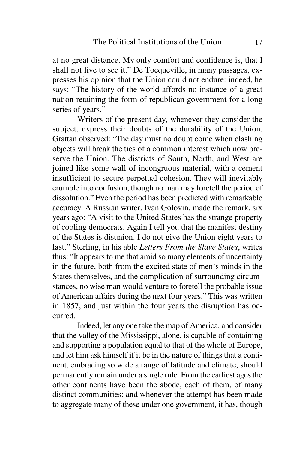at no great distance. My only comfort and confidence is, that I shall not live to see it." De Tocqueville, in many passages, expresses his opinion that the Union could not endure: indeed, he says: "The history of the world affords no instance of a great nation retaining the form of republican government for a longseries of years."

 Writers of the present day, whenever they consider the subject, express their doubts of the durability of the Union.Grattan observed: "The day must no doubt come when clashing objects will break the ties of a common interest which now preserve the Union. The districts of South, North, and West are joined like some wall of incongruous material, with a cement insufficient to secure perpetual cohesion. They will inevitably crumble into confusion, though no man may foretell the period of dissolution." Even the period has been predicted with remarkable accuracy. A Russian writer, Ivan Golovin, made the remark, six years ago: "A visit to the United States has the strange property of cooling democrats. Again I tell you that the manifest destiny of the States is disunion. I do not give the Union eight years to last." Sterling, in his able *Letters From the Slave States*, writes thus: "It appears to me that amid so many elements of uncertainty in the future, both from the excited state of men's minds in the States themselves, and the complication of surrounding circumstances, no wise man would venture to foretell the probable issue of American affairs during the next four years." This was written in 1857, and just within the four years the disruption has occurred.

Indeed, let any one take the map of America, and consider that the valley of the Mississippi, alone, is capable of containing and supporting a population equal to that of the whole of Europe, and let him ask himself if it be in the nature of things that a continent, embracing so wide a range of latitude and climate, should permanently remain under a single rule. From the earliest ages the other continents have been the abode, each of them, of many distinct communities; and whenever the attempt has been madeto aggregate many of these under one government, it has, though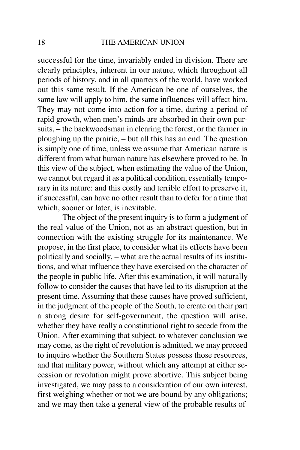successful for the time, invariably ended in division. There are clearly principles, inherent in our nature, which throughout all periods of history, and in all quarters of the world, have worked out this same result. If the American be one of ourselves, the same law will apply to him, the same influences will affect him.They may not come into action for a time, during a period of rapid growth, when men's minds are absorbed in their own pursuits, – the backwoodsman in clearing the forest, or the farmer in ploughing up the prairie, – but all this has an end. The question is simply one of time, unless we assume that American nature is different from what human nature has elsewhere proved to be. In this view of the subject, when estimating the value of the Union, we cannot but regard it as a political condition, essentially temporary in its nature: and this costly and terrible effort to preserve it, if successful, can have no other result than to defer for a time thatwhich, sooner or later, is inevitable.

 The object of the present inquiry is to form a judgment of the real value of the Union, not as an abstract question, but in connection with the existing struggle for its maintenance. We propose, in the first place, to consider what its effects have been politically and socially, – what are the actual results of its institutions, and what influence they have exercised on the character of the people in public life. After this examination, it will naturally follow to consider the causes that have led to its disruption at the present time. Assuming that these causes have proved sufficient,in the judgment of the people of the South, to create on their part a strong desire for self-government, the question will arise, whether they have really a constitutional right to secede from the Union. After examining that subject, to whatever conclusion we may come, as the right of revolution is admitted, we may proceed to inquire whether the Southern States possess those resources,and that military power, without which any attempt at either secession or revolution might prove abortive. This subject being investigated, we may pass to a consideration of our own interest,first weighing whether or not we are bound by any obligations;and we may then take a general view of the probable results of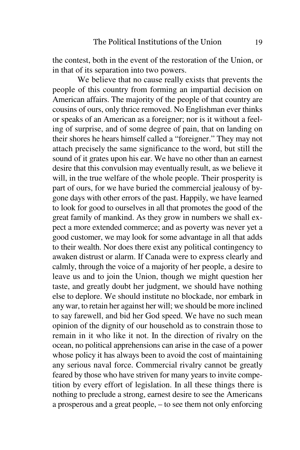the contest, both in the event of the restoration of the Union, orin that of its separation into two powers.

 We believe that no cause really exists that prevents the people of this country from forming an impartial decision on American affairs. The majority of the people of that country are cousins of ours, only thrice removed. No Englishman ever thinks or speaks of an American as a foreigner; nor is it without a feeling of surprise, and of some degree of pain, that on landing on their shores he hears himself called a "foreigner." They may not attach precisely the same significance to the word, but still the sound of it grates upon his ear. We have no other than an earnest desire that this convulsion may eventually result, as we believe it will, in the true welfare of the whole people. Their prosperity is part of ours, for we have buried the commercial jealousy of bygone days with other errors of the past. Happily, we have learned to look for good to ourselves in all that promotes the good of the great family of mankind. As they grow in numbers we shall expect a more extended commerce; and as poverty was never yet a good customer, we may look for some advantage in all that adds to their wealth. Nor does there exist any political contingency to awaken distrust or alarm. If Canada were to express clearly and calmly, through the voice of a majority of her people, a desire to leave us and to join the Union, though we might question her taste, and greatly doubt her judgment, we should have nothing else to deplore. We should institute no blockade, nor embark in any war, to retain her against her will; we should be more inclined to say farewell, and bid her God speed. We have no such mean opinion of the dignity of our household as to constrain those to remain in it who like it not. In the direction of rivalry on the ocean, no political apprehensions can arise in the case of a power whose policy it has always been to avoid the cost of maintaining any serious naval force. Commercial rivalry cannot be greatly feared by those who have striven for many years to invite competition by every effort of legislation. In all these things there is nothing to preclude a strong, earnest desire to see the Americansa prosperous and a great people, – to see them not only enforcing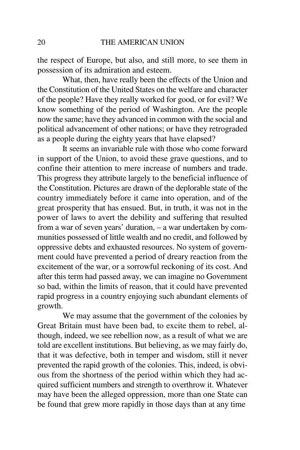the respect of Europe, but also, and still more, to see them inpossession of its admiration and esteem.

 What, then, have really been the effects of the Union and the Constitution of the United States on the welfare and character of the people? Have they really worked for good, or for evil? We know something of the period of Washington. Are the people now the same; have they advanced in common with the social and political advancement of other nations; or have they retrogradedas a people during the eighty years that have elapsed?

 It seems an invariable rule with those who come forward in support of the Union, to avoid these grave questions, and to confine their attention to mere increase of numbers and trade. This progress they attribute largely to the beneficial influence of the Constitution. Pictures are drawn of the deplorable state of the country immediately before it came into operation, and of the great prosperity that has ensued. But, in truth, it was not in the power of laws to avert the debility and suffering that resulted from a war of seven years' duration, – a war undertaken by communities possessed of little wealth and no credit, and followed by oppressive debts and exhausted resources. No system of government could have prevented a period of dreary reaction from the excitement of the war, or a sorrowful reckoning of its cost. And after this term had passed away, we can imagine no Government so bad, within the limits of reason, that it could have prevented rapid progress in a country enjoying such abundant elements ofgrowth.

We may assume that the government of the colonies by Great Britain must have been bad, to excite them to rebel, although, indeed, we see rebellion now, as a result of what we are told are excellent institutions. But believing, as we may fairly do, that it was defective, both in temper and wisdom, still it never prevented the rapid growth of the colonies. This, indeed, is obvious from the shortness of the period within which they had acquired sufficient numbers and strength to overthrow it. Whatever may have been the alleged oppression, more than one State canbe found that grew more rapidly in those days than at any time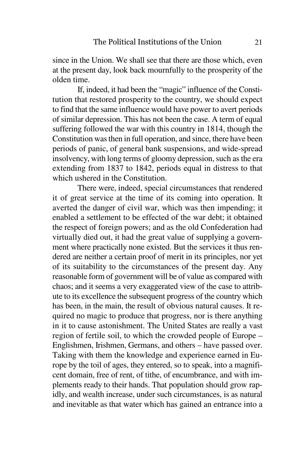since in the Union. We shall see that there are those which, even at the present day, look back mournfully to the prosperity of theolden time.

 If, indeed, it had been the "magic" influence of the Constitution that restored prosperity to the country, we should expect to find that the same influence would have power to avert periods of similar depression. This has not been the case. A term of equal suffering followed the war with this country in 1814, though the Constitution was then in full operation, and since, there have been periods of panic, of general bank suspensions, and wide-spread insolvency, with long terms of gloomy depression, such as the era extending from 1837 to 1842, periods equal in distress to thatwhich ushered in the Constitution.

There were, indeed, special circumstances that rendered it of great service at the time of its coming into operation. It averted the danger of civil war, which was then impending; itenabled a settlement to be effected of the war debt; it obtained the respect of foreign powers; and as the old Confederation had virtually died out, it had the great value of supplying a government where practically none existed. But the services it thus rendered are neither a certain proof of merit in its principles, nor yet of its suitability to the circumstances of the present day. Any reasonable form of government will be of value as compared with chaos; and it seems a very exaggerated view of the case to attribute to its excellence the subsequent progress of the country which has been, in the main, the result of obvious natural causes. It required no magic to produce that progress, nor is there anything in it to cause astonishment. The United States are really a vast region of fertile soil, to which the crowded people of Europe – Englishmen, Irishmen, Germans, and others – have passed over. Taking with them the knowledge and experience earned in Europe by the toil of ages, they entered, so to speak, into a magnificent domain, free of rent, of tithe, of encumbrance, and with implements ready to their hands. That population should grow rapidly, and wealth increase, under such circumstances, is as naturaland inevitable as that water which has gained an entrance into a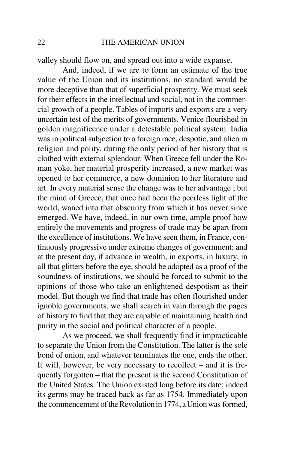valley should flow on, and spread out into a wide expanse.

And, indeed, if we are to form an estimate of the true value of the Union and its institutions, no standard would be more deceptive than that of superficial prosperity. We must seek for their effects in the intellectual and social, not in the commercial growth of a people. Tables of imports and exports are a very uncertain test of the merits of governments. Venice flourished in golden magnificence under a detestable political system. India was in political subjection to a foreign race, despotic, and alien in religion and polity, during the only period of her history that is clothed with external splendour. When Greece fell under the Roman yoke, her material prosperity increased, a new market was opened to her commerce, a new dominion to her literature and art. In every material sense the change was to her advantage ; but the mind of Greece, that once had been the peerless light of the world, waned into that obscurity from which it has never since emerged. We have, indeed, in our own time, ample proof how entirely the movements and progress of trade may be apart from the excellence of institutions. We have seen them, in France, continuously progressive under extreme changes of government; and at the present day, if advance in wealth, in exports, in luxury, in all that glitters before the eye, should be adopted as a proof of the soundness of institutions, we should be forced to submit to the opinions of those who take an enlightened despotism as their model. But though we find that trade has often flourished under ignoble governments, we shall search in vain through the pages of history to find that they are capable of maintaining health andpurity in the social and political character of a people.

As we proceed, we shall frequently find it impracticable to separate the Union from the Constitution. The latter is the sole bond of union, and whatever terminates the one, ends the other.It will, however, be very necessary to recollect – and it is frequently forgotten – that the present is the second Constitution of the United States. The Union existed long before its date; indeed its germs may be traced back as far as 1754. Immediately uponthe commencement of the Revolution in 1774, a Union was formed,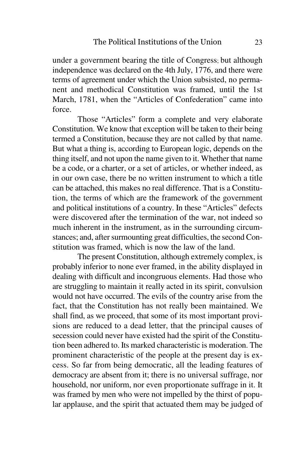under a government bearing the title of Congress; but although independence was declared on the 4th July, 1776, and there were terms of agreement under which the Union subsisted, no permanent and methodical Constitution was framed, until the 1st March, 1781, when the "Articles of Confederation" came intoforce.

Those "Articles" form a complete and very elaborate Constitution. We know that exception will be taken to their being termed a Constitution, because they are not called by that name.But what a thing is, according to European logic, depends on the thing itself, and not upon the name given to it. Whether that name be a code, or a charter, or a set of articles, or whether indeed, as in our own case, there be no written instrument to which a title can be attached, this makes no real difference. That is a Constitution, the terms of which are the framework of the government and political institutions of a country. In these "Articles" defects were discovered after the termination of the war, not indeed so much inherent in the instrument, as in the surrounding circumstances; and, after surmounting great difficulties, the second Constitution was framed, which is now the law of the land.

The present Constitution, although extremely complex, is probably inferior to none ever framed, in the ability displayed in dealing with difficult and incongruous elements. Had those who are struggling to maintain it really acted in its spirit, convulsion would not have occurred. The evils of the country arise from the fact, that the Constitution has not really been maintained. We shall find, as we proceed, that some of its most important provisions are reduced to a dead letter, that the principal causes of secession could never have existed had the spirit of the Constitution been adhered to. Its marked characteristic is moderation. The prominent characteristic of the people at the present day is excess. So far from being democratic, all the leading features of democracy are absent from it; there is no universal suffrage, nor household, nor uniform, nor even proportionate suffrage in it. It was framed by men who were not impelled by the thirst of popular applause, and the spirit that actuated them may be judged of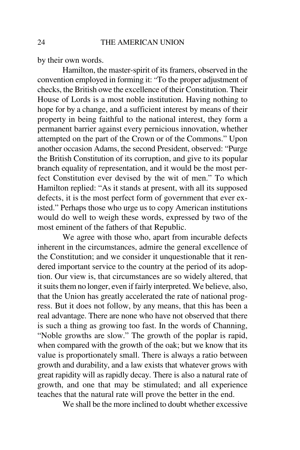by their own words.

Hamilton, the master-spirit of its framers, observed in the convention employed in forming it: "To the proper adjustment of checks, the British owe the excellence of their Constitution. Their House of Lords is a most noble institution. Having nothing to hope for by a change, and a sufficient interest by means of their property in being faithful to the national interest, they form a permanent barrier against every pernicious innovation, whether attempted on the part of the Crown or of the Commons." Upon another occasion Adams, the second President, observed: "Purge the British Constitution of its corruption, and give to its popular branch equality of representation, and it would be the most perfect Constitution ever devised by the wit of men." To which Hamilton replied: "As it stands at present, with all its supposed defects, it is the most perfect form of government that ever existed." Perhaps those who urge us to copy American institutions would do well to weigh these words, expressed by two of themost eminent of the fathers of that Republic.

 We agree with those who, apart from incurable defects inherent in the circumstances, admire the general excellence of the Constitution; and we consider it unquestionable that it rendered important service to the country at the period of its adoption. Our view is, that circumstances are so widely altered, that it suits them no longer, even if fairly interpreted. We believe, also, that the Union has greatly accelerated the rate of national progress. But it does not follow, by any means, that this has been a real advantage. There are none who have not observed that there is such a thing as growing too fast. In the words of Channing, "Noble growths are slow." The growth of the poplar is rapid, when compared with the growth of the oak; but we know that its value is proportionately small. There is always a ratio between growth and durability, and a law exists that whatever grows with great rapidity will as rapidly decay. There is also a natural rate of growth, and one that may be stimulated; and all experienceteaches that the natural rate will prove the better in the end.

We shall be the more inclined to doubt whether excessive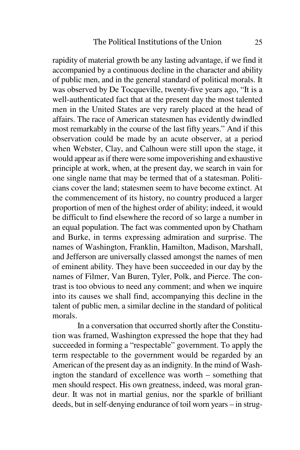rapidity of material growth be any lasting advantage, if we find it accompanied by a continuous decline in the character and ability of public men, and in the general standard of political morals. It was observed by De Tocqueville, twenty-five years ago, "It is a well-authenticated fact that at the present day the most talented men in the United States are very rarely placed at the head of affairs. The race of American statesmen has evidently dwindled most remarkably in the course of the last fifty years." And if this observation could be made by an acute observer, at a period when Webster, Clay, and Calhoun were still upon the stage, it would appear as if there were some impoverishing and exhaustive principle at work, when, at the present day, we search in vain for one single name that may be termed that of a statesman. Politicians cover the land; statesmen seem to have become extinct. At the commencement of its history, no country produced a larger proportion of men of the highest order of ability; indeed, it would be difficult to find elsewhere the record of so large a number in an equal population. The fact was commented upon by Chatham and Burke, in terms expressing admiration and surprise. The names of Washington, Franklin, Hamilton, Madison, Marshall, and Jefferson are universally classed amongst the names of men of eminent ability. They have been succeeded in our day by the names of Filmer, Van Buren, Tyler, Polk, and Pierce. The contrast is too obvious to need any comment; and when we inquire into its causes we shall find, accompanying this decline in the talent of public men, a similar decline in the standard of politicalmorals.

In a conversation that occurred shortly after the Constitution was framed, Washington expressed the hope that they had succeeded in forming a "respectable" government. To apply the term respectable to the government would be regarded by an American of the present day as an indignity. In the mind of Washington the standard of excellence was worth – something that men should respect. His own greatness, indeed, was moral grandeur. It was not in martial genius, nor the sparkle of brilliantdeeds, but in self-denying endurance of toil worn years – in strug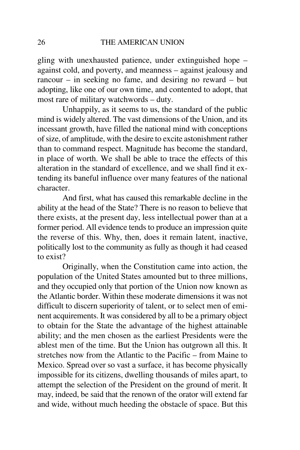gling with unexhausted patience, under extinguished hope – against cold, and poverty, and meanness – against jealousy and rancour – in seeking no fame, and desiring no reward – but adopting, like one of our own time, and contented to adopt, thatmost rare of military watchwords – duty.

 Unhappily, as it seems to us, the standard of the public mind is widely altered. The vast dimensions of the Union, and its incessant growth, have filled the national mind with conceptions of size, of amplitude, with the desire to excite astonishment rather than to command respect. Magnitude has become the standard, in place of worth. We shall be able to trace the effects of this alteration in the standard of excellence, and we shall find it extending its baneful influence over many features of the nationalcharacter.

 And first, what has caused this remarkable decline in the ability at the head of the State? There is no reason to believe that there exists, at the present day, less intellectual power than at a former period. All evidence tends to produce an impression quite the reverse of this. Why, then, does it remain latent, inactive,politically lost to the community as fully as though it had ceasedto exist?

 Originally, when the Constitution came into action, the population of the United States amounted but to three millions, and they occupied only that portion of the Union now known as the Atlantic border. Within these moderate dimensions it was not difficult to discern superiority of talent, or to select men of eminent acquirements. It was considered by all to be a primary object to obtain for the State the advantage of the highest attainable ability; and the men chosen as the earliest Presidents were the ablest men of the time. But the Union has outgrown all this. It stretches now from the Atlantic to the Pacific – from Maine to Mexico. Spread over so vast a surface, it has become physically impossible for its citizens, dwelling thousands of miles apart, to attempt the selection of the President on the ground of merit. It may, indeed, be said that the renown of the orator will extend farand wide, without much heeding the obstacle of space. But this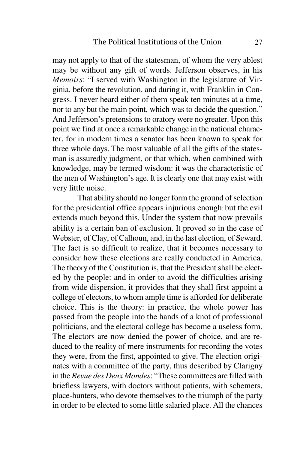may not apply to that of the statesman, of whom the very ablest may be without any gift of words. Jefferson observes, in his *Memoirs*: "I served with Washington in the legislature of Virginia, before the revolution, and during it, with Franklin in Congress. I never heard either of them speak ten minutes at a time,nor to any but the main point, which was to decide the question." And Jefferson's pretensions to oratory were no greater. Upon this point we find at once a remarkable change in the national character, for in modern times a senator has been known to speak for three whole days. The most valuable of all the gifts of the statesman is assuredly judgment, or that which, when combined with knowledge, may be termed wisdom: it was the characteristic of the men of Washington's age. It is clearly one that may exist withvery little noise.

 That ability should no longer form the ground of selection for the presidential office appears injurious enough; but the evilextends much beyond this. Under the system that now prevails ability is a certain ban of exclusion. It proved so in the case of Webster, of Clay, of Calhoun, and, in the last election, of Seward. The fact is so difficult to realize, that it becomes necessary to consider how these elections are really conducted in America. The theory of the Constitution is, that the President shall be elected by the people: and in order to avoid the difficulties arising from wide dispersion, it provides that they shall first appoint a college of electors, to whom ample time is afforded for deliberate choice. This is the theory: in practice, the whole power has passed from the people into the hands of a knot of professional politicians, and the electoral college has become a useless form.The electors are now denied the power of choice, and are reduced to the reality of mere instruments for recording the votes they were, from the first, appointed to give. The election originates with a committee of the party, thus described by Clarigny in the *Revue des Deux Mondes*: "These committees are filled with briefless lawyers, with doctors without patients, with schemers,place-hunters, who devote themselves to the triumph of the partyin order to be elected to some little salaried place. All the chances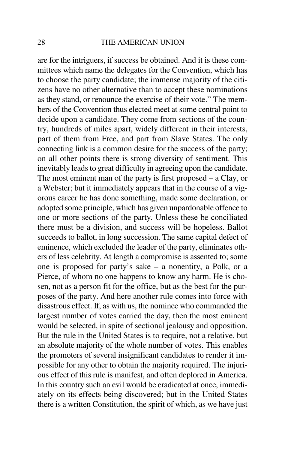are for the intriguers, if success be obtained. And it is these committees which name the delegates for the Convention, which has to choose the party candidate; the immense majority of the citizens have no other alternative than to accept these nominations as they stand, or renounce the exercise of their vote." The members of the Convention thus elected meet at some central point to decide upon a candidate. They come from sections of the country, hundreds of miles apart, widely different in their interests,part of them from Free, and part from Slave States. The only connecting link is a common desire for the success of the party; on all other points there is strong diversity of sentiment. This inevitably leads to great difficulty in agreeing upon the candidate. The most eminent man of the party is first proposed – a Clay, or a Webster; but it immediately appears that in the course of a vigorous career he has done something, made some declaration, or adopted some principle, which has given unpardonable offence to one or more sections of the party. Unless these be conciliated there must be a division, and success will be hopeless. Ballot succeeds to ballot, in long succession. The same capital defect of eminence, which excluded the leader of the party, eliminates others of less celebrity. At length a compromise is assented to; some one is proposed for party's sake – a nonentity, a Polk, or a Pierce, of whom no one happens to know any harm. He is chosen, not as a person fit for the office, but as the best for the purposes of the party. And here another rule comes into force with disastrous effect. If, as with us, the nominee who commanded the largest number of votes carried the day, then the most eminent would be selected, in spite of sectional jealousy and opposition. But the rule in the United States is to require, not a relative, but an absolute majority of the whole number of votes. This enables the promoters of several insignificant candidates to render it impossible for any other to obtain the majority required. The injurious effect of this rule is manifest, and often deplored in America.In this country such an evil would be eradicated at once, immediately on its effects being discovered; but in the United Statesthere is a written Constitution, the spirit of which, as we have just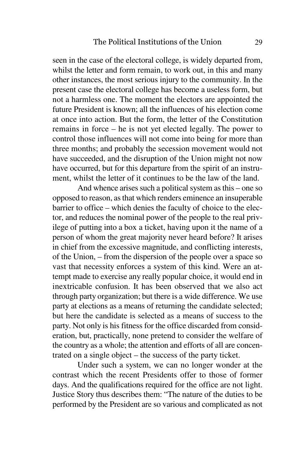seen in the case of the electoral college, is widely departed from,whilst the letter and form remain, to work out, in this and many other instances, the most serious injury to the community. In the present case the electoral college has become a useless form, but not a harmless one. The moment the electors are appointed the future President is known; all the influences of his election come at once into action. But the form, the letter of the Constitution remains in force – he is not yet elected legally. The power to control those influences will not come into being for more than three months; and probably the secession movement would not have succeeded, and the disruption of the Union might not now have occurred, but for this departure from the spirit of an instrument, whilst the letter of it continues to be the law of the land.

 And whence arises such a political system as this – one so opposed to reason, as that which renders eminence an insuperable barrier to office – which denies the faculty of choice to the elector, and reduces the nominal power of the people to the real privilege of putting into a box a ticket, having upon it the name of a person of whom the great majority never heard before? It arises in chief from the excessive magnitude, and conflicting interests,of the Union, – from the dispersion of the people over a space so vast that necessity enforces a system of this kind. Were an attempt made to exercise any really popular choice, it would end in inextricable confusion. It has been observed that we also act through party organization; but there is a wide difference. We use party at elections as a means of returning the candidate selected;but here the candidate is selected as a means of success to the party. Not only is his fitness for the office discarded from consideration, but, practically, none pretend to consider the welfare of the country as a whole; the attention and efforts of all are concentrated on a single object – the success of the party ticket.

Under such a system, we can no longer wonder at the contrast which the recent Presidents offer to those of former days. And the qualifications required for the office are not light. Justice Story thus describes them: "The nature of the duties to beperformed by the President are so various and complicated as not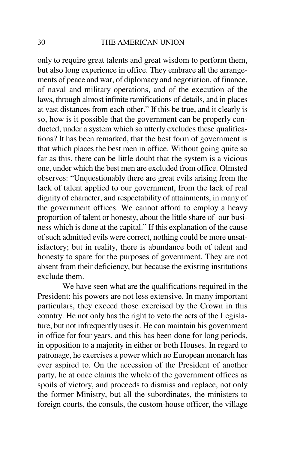only to require great talents and great wisdom to perform them, but also long experience in office. They embrace all the arrangements of peace and war, of diplomacy and negotiation, of finance, of naval and military operations, and of the execution of the laws, through almost infinite ramifications of details, and in places at vast distances from each other." If this be true, and it clearly is so, how is it possible that the government can be properly conducted, under a system which so utterly excludes these qualifications? It has been remarked, that the best form of government is that which places the best men in office. Without going quite so far as this, there can be little doubt that the system is a vicious one, under which the best men are excluded from office. Olmsted observes: "Unquestionably there are great evils arising from the lack of talent applied to our government, from the lack of real dignity of character, and respectability of attainments, in many of the government offices. We cannot afford to employ a heavy proportion of talent or honesty, about the little share of our business which is done at the capital." If this explanation of the cause of such admitted evils were correct, nothing could be more unsatisfactory; but in reality, there is abundance both of talent and honesty to spare for the purposes of government. They are not absent from their deficiency, but because the existing institutionsexclude them.

 We have seen what are the qualifications required in the President: his powers are not less extensive. In many important particulars, they exceed those exercised by the Crown in this country. He not only has the right to veto the acts of the Legislature, but not infrequently uses it. He can maintain his government in office for four years, and this has been done for long periods, in opposition to a majority in either or both Houses. In regard to patronage, he exercises a power which no European monarch has ever aspired to. On the accession of the President of another party, he at once claims the whole of the government offices as spoils of victory, and proceeds to dismiss and replace, not only the former Ministry, but all the subordinates, the ministers toforeign courts, the consuls, the custom-house officer, the village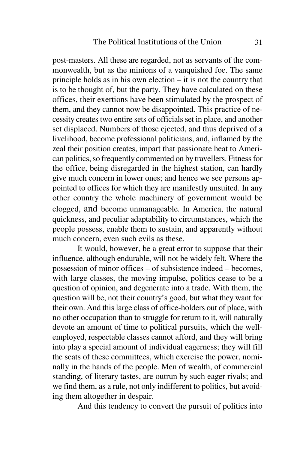post-masters. All these are regarded, not as servants of the commonwealth, but as the minions of a vanquished foe. The same principle holds as in his own election – it is not the country that is to be thought of, but the party. They have calculated on these offices, their exertions have been stimulated by the prospect of them, and they cannot now be disappointed. This practice of necessity creates two entire sets of officials set in place, and another set displaced. Numbers of those ejected, and thus deprived of a livelihood, become professional politicians, and, inflamed by the zeal their position creates, impart that passionate heat to American politics, so frequently commented on by travellers. Fitness for the office, being disregarded in the highest station, can hardly give much concern in lower ones; and hence we see persons appointed to offices for which they are manifestly unsuited. In any other country the whole machinery of government would be clogged, and become unmanageable. In America, the natural quickness, and peculiar adaptability to circumstances, which the people possess, enable them to sustain, and apparently withoutmuch concern, even such evils as these.

It would, however, be a great error to suppose that their influence, although endurable, will not be widely felt. Where the possession of minor offices – of subsistence indeed – becomes,with large classes, the moving impulse, politics cease to be a question of opinion, and degenerate into a trade. With them, the question will be, not their country's good, but what they want for their own. And this large class of office-holders out of place, with no other occupation than to struggle for return to it, will naturally devote an amount of time to political pursuits, which the wellemployed, respectable classes cannot afford, and they will bring into play a special amount of individual eagerness; they will fill the seats of these committees, which exercise the power, nominally in the hands of the people. Men of wealth, of commercialstanding, of literary tastes, are outrun by such eager rivals; and we find them, as a rule, not only indifferent to politics, but avoiding them altogether in despair.

And this tendency to convert the pursuit of politics into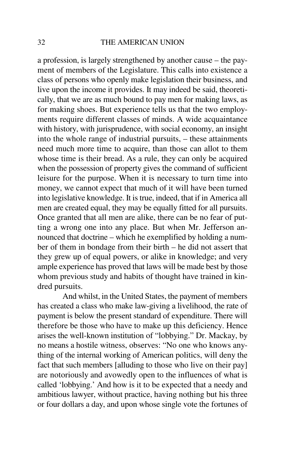a profession, is largely strengthened by another cause – the payment of members of the Legislature. This calls into existence a class of persons who openly make legislation their business, and live upon the income it provides. It may indeed be said, theoretically, that we are as much bound to pay men for making laws, as for making shoes. But experience tells us that the two employments require different classes of minds. A wide acquaintance with history, with jurisprudence, with social economy, an insight into the whole range of industrial pursuits, – these attainments need much more time to acquire, than those can allot to them whose time is their bread. As a rule, they can only be acquired when the possession of property gives the command of sufficient leisure for the purpose. When it is necessary to turn time into money, we cannot expect that much of it will have been turned into legislative knowledge. It is true, indeed, that if in America all men are created equal, they may be equally fitted for all pursuits. Once granted that all men are alike, there can be no fear of putting a wrong one into any place. But when Mr. Jefferson announced that doctrine – which he exemplified by holding a number of them in bondage from their birth – he did not assert that they grew up of equal powers, or alike in knowledge; and very ample experience has proved that laws will be made best by those whom previous study and habits of thought have trained in kindred pursuits.

And whilst, in the United States, the payment of members has created a class who make law-giving a livelihood, the rate of payment is below the present standard of expenditure. There will therefore be those who have to make up this deficiency. Hence arises the well-known institution of "lobbying." Dr. Mackay, by no means a hostile witness, observes: "No one who knows anything of the internal working of American politics, will deny the fact that such members [alluding to those who live on their pay] are notoriously and avowedly open to the influences of what is called 'lobbying.' And how is it to be expected that a needy and ambitious lawyer, without practice, having nothing but his threeor four dollars a day, and upon whose single vote the fortunes of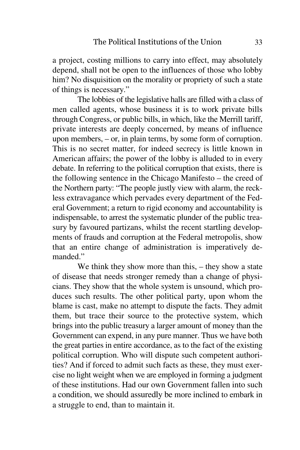a project, costing millions to carry into effect, may absolutely depend, shall not be open to the influences of those who lobby him? No disquisition on the morality or propriety of such a stateof things is necessary."

 The lobbies of the legislative halls are filled with a class of men called agents, whose business it is to work private bills through Congress, or public bills, in which, like the Merrill tariff,private interests are deeply concerned, by means of influence upon members, – or, in plain terms, by some form of corruption.This is no secret matter, for indeed secrecy is little known in American affairs; the power of the lobby is alluded to in every debate. In referring to the political corruption that exists, there is the following sentence in the Chicago Manifesto – the creed of the Northern party: "The people justly view with alarm, the reckless extravagance which pervades every department of the Federal Government; a return to rigid economy and accountability is indispensable, to arrest the systematic plunder of the public treasury by favoured partizans, whilst the recent startling developments of frauds and corruption at the Federal metropolis, show that an entire change of administration is imperatively demanded."

 We think they show more than this, – they show a state of disease that needs stronger remedy than a change of physicians. They show that the whole system is unsound, which produces such results. The other political party, upon whom the blame is cast, make no attempt to dispute the facts. They admit them, but trace their source to the protective system, which brings into the public treasury a larger amount of money than the Government can expend, in any pure manner. Thus we have both the great parties in entire accordance, as to the fact of the existing political corruption. Who will dispute such competent authorities? And if forced to admit such facts as these, they must exercise no light weight when we are employed in forming a judgment of these institutions. Had our own Government fallen into such a condition, we should assuredly be more inclined to embark ina struggle to end, than to maintain it.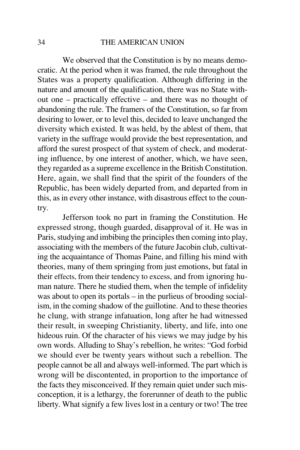### THE AMERICAN UNION

We observed that the Constitution is by no means democratic. At the period when it was framed, the rule throughout the States was a property qualification. Although differing in the nature and amount of the qualification, there was no State without one – practically effective – and there was no thought of abandoning the rule. The framers of the Constitution, so far from desiring to lower, or to level this, decided to leave unchanged the diversity which existed. It was held, by the ablest of them, that variety in the suffrage would provide the best representation, and afford the surest prospect of that system of check, and moderating influence, by one interest of another, which, we have seen, they regarded as a supreme excellence in the British Constitution. Here, again, we shall find that the spirit of the founders of the Republic, has been widely departed from, and departed from in this, as in every other instance, with disastrous effect to the country.

Jefferson took no part in framing the Constitution. He expressed strong, though guarded, disapproval of it. He was in Paris, studying and imbibing the principles then coming into play, associating with the members of the future Jacobin club, cultivating the acquaintance of Thomas Paine, and filling his mind with theories, many of them springing from just emotions, but fatal in their effects, from their tendency to excess, and from ignoring human nature. There he studied them, when the temple of infidelity was about to open its portals – in the purlieus of brooding socialism, in the coming shadow of the guillotine. And to these theories he clung, with strange infatuation, long after he had witnessed their result, in sweeping Christianity, liberty, and life, into one hideous ruin. Of the character of his views we may judge by his own words. Alluding to Shay's rebellion, he writes: "God forbid we should ever be twenty years without such a rebellion. The people cannot be all and always well-informed. The part which is wrong will be discontented, in proportion to the importance of the facts they misconceived. If they remain quiet under such misconception, it is a lethargy, the forerunner of death to the publicliberty. What signify a few lives lost in a century or two! The tree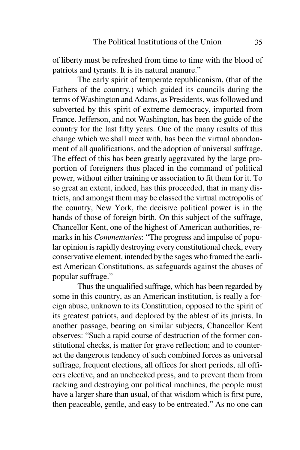of liberty must be refreshed from time to time with the blood ofpatriots and tyrants. It is its natural manure."

 The early spirit of temperate republicanism, (that of the Fathers of the country,) which guided its councils during the terms of Washington and Adams, as Presidents, was followed and subverted by this spirit of extreme democracy, imported from France. Jefferson, and not Washington, has been the guide of the country for the last fifty years. One of the many results of this change which we shall meet with, has been the virtual abandonment of all qualifications, and the adoption of universal suffrage. The effect of this has been greatly aggravated by the large proportion of foreigners thus placed in the command of political power, without either training or association to fit them for it. To so great an extent, indeed, has this proceeded, that in many districts, and amongst them may be classed the virtual metropolis of the country, New York, the decisive political power is in the hands of those of foreign birth. On this subject of the suffrage,Chancellor Kent, one of the highest of American authorities, remarks in his *Commentaries*: "The progress and impulse of popular opinion is rapidly destroying every constitutional check, every conservative element, intended by the sages who framed the earliest American Constitutions, as safeguards against the abuses ofpopular suffrage."

 Thus the unqualified suffrage, which has been regarded by some in this country, as an American institution, is really a foreign abuse, unknown to its Constitution, opposed to the spirit of its greatest patriots, and deplored by the ablest of its jurists. In another passage, bearing on similar subjects, Chancellor Kent observes: "Such a rapid course of destruction of the former constitutional checks, is matter for grave reflection; and to counteract the dangerous tendency of such combined forces as universalsuffrage, frequent elections, all offices for short periods, all officers elective, and an unchecked press, and to prevent them from racking and destroying our political machines, the people must have a larger share than usual, of that wisdom which is first pure,then peaceable, gentle, and easy to be entreated." As no one can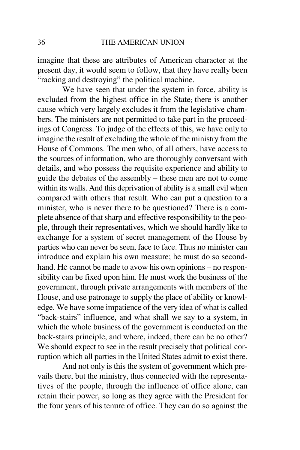imagine that these are attributes of American character at the present day, it would seem to follow, that they have really been"racking and destroying" the political machine.

 We have seen that under the system in force, ability is excluded from the highest office in the State; there is another cause which very largely excludes it from the legislative chambers. The ministers are not permitted to take part in the proceedings of Congress. To judge of the effects of this, we have only to imagine the result of excluding the whole of the ministry from the House of Commons. The men who, of all others, have access to the sources of information, who are thoroughly conversant with details, and who possess the requisite experience and ability to guide the debates of the assembly – these men are not to come within its walls. And this deprivation of ability is a small evil when compared with others that result. Who can put a question to a minister, who is never there to be questioned? There is a complete absence of that sharp and effective responsibility to the people, through their representatives, which we should hardly like to exchange for a system of secret management of the House by parties who can never be seen, face to face. Thus no minister can introduce and explain his own measure; he must do so secondhand. He cannot be made to avow his own opinions – no respon sibility can be fixed upon him. He must work the business of the government, through private arrangements with members of the House, and use patronage to supply the place of ability or knowledge. We have some impatience of the very idea of what is called "back-stairs" influence, and what shall we say to a system, in which the whole business of the government is conducted on the back-stairs principle, and where, indeed, there can be no other? We should expect to see in the result precisely that political corruption which all parties in the United States admit to exist there.

And not only is this the system of government which prevails there, but the ministry, thus connected with the representatives of the people, through the influence of office alone, can retain their power, so long as they agree with the President forthe four years of his tenure of office. They can do so against the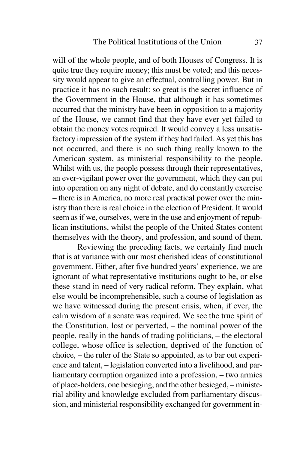will of the whole people, and of both Houses of Congress. It is quite true they require money; this must be voted; and this necessity would appear to give an effectual, controlling power. But in practice it has no such result: so great is the secret influence of the Government in the House, that although it has sometimes occurred that the ministry have been in opposition to a majority of the House, we cannot find that they have ever yet failed to obtain the money votes required. It would convey a less unsatisfactory impression of the system if they had failed. As yet this has not occurred, and there is no such thing really known to the American system, as ministerial responsibility to the people.Whilst with us, the people possess through their representatives, an ever-vigilant power over the government, which they can put into operation on any night of debate, and do constantly exercise – there is in America, no more real practical power over the ministry than there is real choice in the election of President. It would seem as if we, ourselves, were in the use and enjoyment of republican institutions, whilst the people of the United States contentthemselves with the theory, and profession, and sound of them.

 Reviewing the preceding facts, we certainly find much that is at variance with our most cherished ideas of constitutional government. Either, after five hundred years' experience, we are ignorant of what representative institutions ought to be, or else these stand in need of very radical reform. They explain, what else would be incomprehensible, such a course of legislation as we have witnessed during the present crisis, when, if ever, the calm wisdom of a senate was required. We see the true spirit of the Constitution, lost or perverted, – the nominal power of the people, really in the hands of trading politicians, – the electoral college, whose office is selection, deprived of the function of choice, – the ruler of the State so appointed, as to bar out experience and talent, – legislation converted into a livelihood, and parliamentary corruption organized into a profession, – two armies of place-holders, one besieging, and the other besieged, – ministerial ability and knowledge excluded from parliamentary discussion, and ministerial responsibility exchanged for government in-